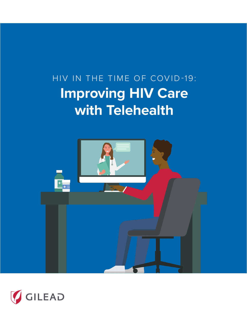# HIV IN THE TIME OF COVID-19: **Improving HIV Care with Telehealth**



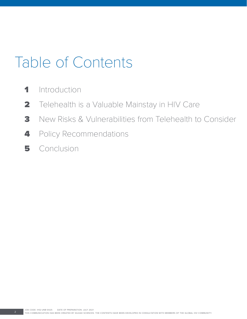# Table of Contents

- 1 Introduction
- 2 Telehealth is a Valuable Mainstay in HIV Care
- 3 New Risks & Vulnerabilities from Telehealth to Consider
- 4 Policy Recommendations
- 5 Conclusion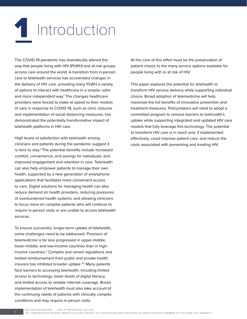# **1** Introduction

The COVID-19 pandemic has dramatically altered the way that people living with HIV (PLWH) and at-risk groups access care around the world. A transition from in-person care to telehealth services has accelerated changes in the delivery of HIV care, providing many PLWH a variety of options to interact with healthcare in a simpler, safer and more independent way.<sup>1</sup> The changes healthcare providers were forced to make at speed to their models of care in response to COVID-19, such as clinic closures and implementation of social distancing measures, has demonstrated the potentially transformative impact of telehealth platforms in HIV care.

High levels of satisfaction with telehealth among clinicians and patients during the pandemic suggest it is here to stay.<sup>2</sup> The potential benefits include increased comfort, convenience, and savings for individuals; and improved engagement and retention in care. Telehealth can also help empower patients to manage their own health, supported by a new generation of smartphone applications that facilitates more convenient access to care. Digital solutions for managing health can also reduce demand on health providers, reducing pressures of overburdened health systems, and allowing clinicians to focus more on complex patients who will continue to require in-person visits or are unable to access telehealth services.

To ensure successful, longer-term uptake of telehealth, some challenges need to be addressed. Provision of telemedicine is far less progressed in upper-middle, lower-middle, and low-income countries than in highincome countries.3 Complex and varied regulations and limited reimbursement from public and private health insurers has inhibited broader uptake.4,5 Many patients face barriers to accessing telehealth, including limited access to technology, lower levels of digital literacy, and limited access to reliable internet coverage. Broad implementation of telehealth must also take account of the continuing needs of patients with clinically complex conditions and may require in-person visits.

At the core of this effort must be the preservation of patient choice to the many service options available for people living with or at risk of HIV.

This paper explores the potential for telehealth to transform HIV service delivery while supporting individual choice. Broad adoption of telemedicine will help maximize the full benefits of innovative prevention and treatment measures. Policymakers will need to adopt a committed program to remove barriers to telehealth's uptake while supporting integrated and updated HIV care models that fully leverage this technology. The potential to transform HIV care is in reach and, if implemented effectively, could improve patient care, and reduce the costs associated with preventing and treating HIV.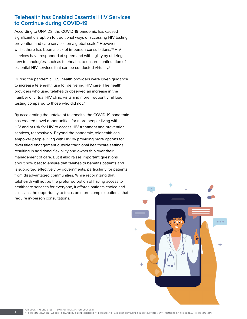# **Telehealth has Enabled Essential HIV Services to Continue during COVID-19**

According to UNAIDS, the COVID-19 pandemic has caused significant disruption to traditional ways of accessing HIV testing, prevention and care services on a global scale.<sup>6</sup> However, whilst there has been a lack of in-person consultations,<sup>7,8</sup> HIV services have responded at speed and with agility by utilizing new technologies, such as telehealth, to ensure continuation of essential HIV services that can be conducted virtually.<sup>1</sup>

During the pandemic, U.S. health providers were given guidance to increase telehealth use for delivering HIV care. The health providers who used telehealth observed an increase in the number of virtual HIV clinic visits and more frequent viral load testing compared to those who did not.9

By accelerating the uptake of telehealth, the COVID-19 pandemic has created novel opportunities for more people living with HIV and at risk for HIV to access HIV treatment and prevention services, respectively. Beyond the pandemic, telehealth can empower people living with HIV by providing more options for diversified engagement outside traditional healthcare settings, resulting in additional flexibility and ownership over their management of care. But it also raises important questions about how best to ensure that telehealth benefits patients and is supported effectively by governments, particularly for patients from disadvantaged communities. While recognizing that telehealth will not be the preferred option of having access to healthcare services for everyone, it affords patients choice and clinicians the opportunity to focus on more complex patients that require in-person consultations.

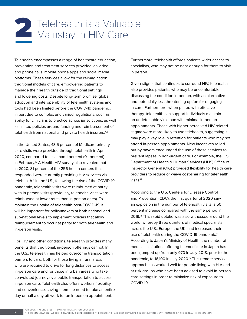# Telehealth is a Valuable<br>2 Mainstay in HIV Care

Telehealth encompasses a range of healthcare education, prevention and treatment services provided via video and phone calls, mobile phone apps and social media platforms. These services allow for the reimagination traditional models of care, empowering patients to manage their health outside of traditional settings and lowering costs. Despite long-term promise, global adoption and interoperability of telehealth systems and tools had been limited before the COVID-19 pandemic, in part due to complex and varied regulations, such as ability for clinicians to practice across jurisdictions, as well as limited policies around funding and reimbursement of telehealth from national and private health insurers.<sup>4,5</sup>

In the United States, 43.5 percent of Medicare primary care visits were provided through telehealth in April 2020, compared to less than 1 percent (0.1 percent) in February.<sup>10</sup> A Health HIV survey also revealed that in 2020, 81 percent of the 256 health centers that responded were currently providing HIV services via telehealth.<sup>11</sup> In the U.S., following the rise of the COVID-19 pandemic, telehealth visits were reimbursed at parity with in-person visits (previously, telehealth visits were reimbursed at lower rates than in-person ones). To maintain the uptake of telehealth post-COVID-19, it will be important for policymakers at both national and sub-national levels to implement policies that allow reimbursement to occur at parity for both telehealth and in-person visits.

For HIV and other conditions, telehealth provides many benefits that traditional, in-person offerings cannot. In the U.S., telehealth has helped overcome transportation barriers to care, both for those living in rural areas who are required to drive for long distances to access in-person care and for those in urban areas who take convoluted journeys via public transportation to access in-person care. Telehealth also offers workers flexibility and convenience, saving them the need to take an entire day or half a day off work for an in-person appointment.

Furthermore, telehealth affords patients wider access to specialists, who may not be near enough for them to visit in person.

Given stigma that continues to surround HIV, telehealth also provides patients, who may be uncomfortable discussing the condition in-person, with an alternative and potentially less threatening option for engaging in care. Furthermore, when paired with effective therapy, telehealth can support individuals maintain an undetectable viral load with minimal in-person appointments. Those with higher perceived HIV-related stigma were more likely to use telehealth, suggesting it may play a key role in retention for patients who may not attend in-person appointments. New incentives rolled out by payors encouraged the use of these services to prevent lapses in non-urgent care. For example, the U.S. Department of Health & Human Services (HHS) Office of Inspector General (OIG) provided flexibility for health care providers to reduce or waive cost-sharing for telehealth visits.12

According to the U.S. Centers for Disease Control and Prevention (CDC), the first quarter of 2020 saw an explosion in the number of telehealth visits; a 50 percent increase compared with the same period in 2019.<sup>13</sup> This rapid uptake was also witnessed around the world, whereby three quarters of medical specialists across the U.S., Europe, the UK, had increased their use of telehealth during the COVID-19 pandemic.<sup>14</sup> According to Japan's Ministry of Health, the number of medical institutions offering telemedicine in Japan has been jumped up from only 970 in July 2018, prior to the pandemic, to 16,100 in July 2020.<sup>15</sup> This remote services approach has worked well for people living with HIV and at-risk groups who have been advised to avoid in-person care settings in order to minimize risk of exposure to COVID-19.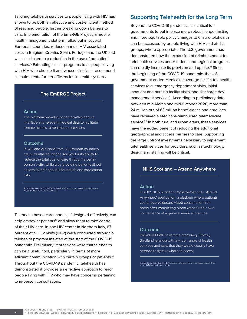Tailoring telehealth services to people living with HIV has shown to be both an effective and cost-efficient method of reaching people, further breaking down barriers to care. Implementation of the EmERGE Project, a mobile health management platform rolled out in several European countries, reduced annual HIV-associated costs in Belgium, Croatia, Spain, Portugal and the UK and was also linked to a reduction in the use of outpatient services.<sup>16</sup> Extending similar programs to all people living with HIV who choose it and whose clinicians recommend it, could create further efficiencies in health systems.

## **The EmERGE Project**

#### **Action**

The platform provides patients with a secure interface and relevant medical data to facilitate remote access to healthcare providers

#### **Outcome**

PLWH and clinicians from 5 European countries are currently testing the service for its ability to reduce the total cost of care through fewer inperson visits, while also providing patients direct access to their health information and medication lists.

Source: EmERGE. 2021. EmERGE mHealth Platform. Last accessed via https://www. emergeproject.eu/about in June 2021.

Telehealth based care models, if designed effectively, can help empower patients $17$  and allow them to take control of their HIV care. In one HIV center in Northern Italy, 67 percent of all HIV visits (1,162) were conducted through a telehealth program initiated at the start of the COVID-19 pandemic. Preliminary impressions were that telehealth can be a useful tool, particularly in terms of more efficient communication with certain groups of patients.<sup>18</sup> Throughout the COVID-19 pandemic, telehealth has demonstrated it provides an effective approach to reach people living with HIV who may have concerns pertaining to in-person consultations.

# **Supporting Telehealth for the Long Term**

Beyond the COVID-19 pandemic, it is critical for governments to put in place more robust, longer lasting and more equitable policy changes to ensure telehealth can be accessed by people living with HIV and at-risk groups, where appropriate. The U.S. government has demonstrated how the expansion of reimbursement for telehealth services under federal and regional programs can rapidly increase its provision and uptake.19 Since the beginning of the COVID-19 pandemic, the U.S. government added Medicaid coverage for 144 telehealth services (e.g. emergency department visits, initial inpatient and nursing facility visits, and discharge day management services). According to preliminary data between mid-March and mid-October 2020, more than 24 million out of 63 million beneficiaries and enrollees have received a Medicare-reimbursed telemedicine service.<sup>20</sup> In both rural and urban areas, these services have the added benefit of reducing the additional geographical and access barriers to care. Supporting the large upfront investments necessary to implement telehealth services for providers, such as technology, design and staffing will be critical.

# **NHS Scotland – Attend Anywhere**

#### **Action**

In 2017, NHS Scotland implemented their 'Attend Anywhere' application, a platform where patients could receive secure video consultation from home after completing blood work at their own convenience at a general medical practice

#### **Outcome**

Provided PLWH in remote areas (e.g. Orkney, Shetland Islands) with a wider range of health services and care that they would usually have needed to fly elsewhere to access

Source: Pham C, Badowski ME. The role of telemedicine in infectious diseases. EMJ Innov. 2019 [epub ahead of print].

JOB CODE: IHQ-UNB-0425 DATE OF PREPARATION: JULY 2021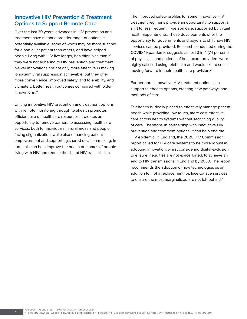# **Innovative HIV Prevention & Treatment Options to Support Remote Care**

Over the last 30 years, advances in HIV prevention and treatment have meant a broader range of options is potentially available, some of which may be more suitable for a particular patient than others, and have helped people living with HIV live longer, healthier lives than if they were not adhering to HIV prevention and treatment. Newer innovations are not only more effective in making long-term viral suppression achievable, but they offer more convenience, improved safety, and tolerability, and ultimately, better health outcomes compared with older innovations.<sup>21</sup>

Uniting innovative HIV prevention and treatment options with remote monitoring through telehealth promotes efficient use of healthcare resources. It creates an opportunity to remove barriers to accessing healthcare services, both for individuals in rural areas and people facing stigmatization, while also enhancing patient empowerment and supporting shared decision-making. In turn, this can help improve the health outcomes of people living with HIV and reduce the risk of HIV transmission.

The improved safety profiles for some innovative HIV treatment regimens provide an opportunity to support a shift to less frequent in-person care, supported by virtual health appointments. These developments offer the opportunity for governments and payors to shift how HIV services can be provided. Research conducted during the COVID-19 pandemic suggests almost 3 in 4 (74 percent) of physicians and patients of healthcare providers were highly satisfied using telehealth and would like to see it moving forward in their health care provision.2

Furthermore, innovative HIV treatment options can support telehealth options, creating new pathways and methods of care.

Telehealth is ideally placed to effectively manage patient needs while providing low-touch, more cost-effective care across health systems without sacrificing quality of care. Therefore, in partnership with innovative HIV prevention and treatment options, it can help end the HIV epidemic. In England, the 2020 HIV Commission report called for HIV care systems to be more robust in adopting innovation, whilst considering digital exclusion to ensure inequities are not exacerbated, to achieve an end to HIV transmissions in England by 2030. The report recommends the adoption of new technologies as an addition to, not a replacement for, face-to-face services, to ensure the most marginalized are not left behind. $22$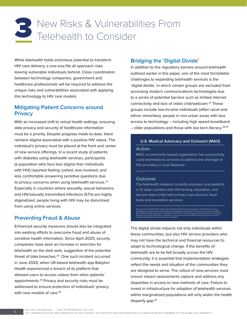# Sullet New Risks & Vulnerabilities From

While telehealth holds enormous potential to transform HIV care delivery, a one-size-fits all approach risks leaving vulnerable individuals behind. Close coordination between technology companies, government and healthcare professionals will be required to address the unique risks and vulnerabilities associated with applying this technology to HIV care models.

# **Mitigating Patient Concerns around Privacy**

With an increased shift to virtual health settings, ensuring data privacy and security of healthcare information must be a priority. Despite progress made to-date, there remains stigma associated with a positive HIV status. The individual's privacy must be placed at the front and center of new service offerings. In a recent study of patients with diabetes using telehealth services, participants (a population who face less stigma than individuals with HIV) reported feeling rushed, less involved, and less comfortable answering sensitive questions due to privacy concerns when using telehealth services.<sup>23</sup> Especially in countries where sexuality, sexual behaviors, and HIV/sexually transmitted infections (STIs) are highly stigmatized, people living with HIV may be disinclined from using online services.

# **Preventing Fraud & Abuse**

Enhanced security measures should also be integrated into existing efforts to overcome fraud and abuse of sensitive health information. Since April 2020, security companies have seen an increase in searches for telehealth on the dark web, suggestive of the potential threat of data breaches.<sup>24</sup> One such incident occurred in June 2020, when UK-based telehealth app Babylon Health experienced a breach of its platform that allowed users to access videos from other patients' appointments.25 Privacy and security risks must be addressed to ensure protection of individuals' privacy with new models of care.<sup>26</sup>

# **Bridging the 'Digital Divide'**

In addition to the regulatory barriers around telehealth outlined earlier in this paper, one of the most formidable challenges to expanding telehealth services is the 'digital divide,' in which certain groups are excluded from accessing modern communications technologies due to a series of potential barriers such as limited internet connectivity and lack of video chat/webcam.<sup>27</sup> These groups include low-income individuals (often racial and ethnic minorities), people in non-urban areas with less access to technology – including high speed broadband  $-$  older populations and those with low tech literacy.<sup>28,29</sup>

### **U.S. Medical Advocacy and Outreach (MAO)**

#### **Action**

MAO, a community-based organization has successfully used telemedicine services to address the shortage of HIV providers in rural Alabama

### **Outcome**

The telehealth network currently provides rural patients in 12 state counties with HIV testing, education, and secure video chats with primary care doctors, food bank and translation services

Source: Rural Health Information Hub. Medical Advocacy & Outreach's telehealth services.<br>Available at: https://www.ruralhealthinfo.org/project-examples/775 Last accessed June 2021.<br>Rural Health Information Hub. Telehealth

The digital divide impacts not only individuals within these communities, but also HIV service providers who may not have the technical and financial resources to adapt to technological change. If the benefits of telehealth are to be felt broadly across the HIV community, it is essential that implementation strategies reflect the needs and situation of the communities they are designed to serve. The rollout of new services must ensure impact assessments capture and address any disparities in access to new methods of care. Failure to invest in infrastructure for adoption of telehealth services within marginalized populations will only widen the health disparity gap.<sup>30</sup>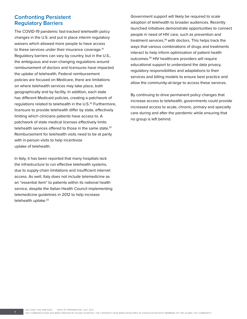# **Confronting Persistent Regulatory Barriers**

The COVID-19 pandemic fast-tracked telehealth policy changes in the U.S. and put in place interim regulatory waivers which allowed more people to have access to these services under their insurance coverage.<sup>31</sup> Regulatory barriers can vary by country, but in the U.S., the ambiguous and ever-changing regulations around reimbursement of doctors and licensures have impacted the uptake of telehealth. Federal reimbursement policies are focused on Medicare, there are limitations on where telehealth services may take place, both geographically and by facility. In addition, each state has different Medicaid policies, creating a patchwork of regulations related to telehealth in the U.S.<sup>32</sup> Furthermore, licensure to provide telehealth differ by state, effectively limiting which clinicians patients have access to. A patchwork of state medical licenses effectively limits telehealth services offered to those in the same state.<sup>33</sup> Reimbursement for telehealth visits need to be at parity with in-person visits to help incentivize uptake of telehealth.

In Italy, it has been reported that many hospitals lack the infrastructure to run effective telehealth systems, due to supply-chain limitations and insufficient internet access. As well, Italy does not include telemedicine as an "essential item" to patients within its national health service, despite the Italian Health Council implementing telemedicine guidelines in 2012 to help increase telehealth uptake.<sup>33</sup>

Government support will likely be required to scale adoption of telehealth to broader audiences. Recently launched initiatives demonstrate opportunities to connect people in need of HIV care, such as prevention and treatment services, $34$  with doctors. This helps track the ways that various combinations of drugs and treatments interact to help inform optimization of patient health outcomes.35 HIV healthcare providers will require educational support to understand the data privacy, regulatory responsibilities and adaptations to their services and billing models to ensure best practice and allow the community-at-large to access these services.

By continuing to drive permanent policy changes that increase access to telehealth, governments could provide increased access to acute, chronic, primary and specialty care during and after the pandemic while ensuring that no group is left behind.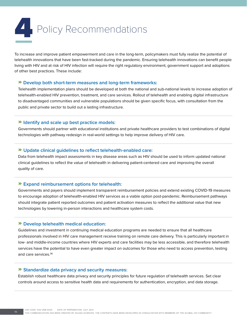# **Policy Recommendations**

To increase and improve patient empowerment and care in the long-term, policymakers must fully realize the potential of telehealth innovations that have been fast-tracked during the pandemic. Ensuring telehealth innovations can benefit people living with HIV and at risk of HIV infection will require the right regulatory environment, government support and adoptions of other best practices. These include:

### » **Develop both short-term measures and long-term frameworks:**

Telehealth implementation plans should be developed at both the national and sub-national levels to increase adoption of telehealth-enabled HIV prevention, treatment, and care services. Rollout of telehealth and enabling digital infrastructure to disadvantaged communities and vulnerable populations should be given specific focus, with consultation from the public and private sector to build out a lasting infrastructure.

## » **Identify and scale up best practice models:**

Governments should partner with educational institutions and private healthcare providers to test combinations of digital technologies with pathway redesign in real-world settings to help improve delivery of HIV care.

### » **Update clinical guidelines to reflect telehealth-enabled care:**

Data from telehealth impact assessments in key disease areas such as HIV should be used to inform updated national clinical guidelines to reflect the value of telehealth in delivering patient-centered care and improving the overall quality of care.

### » **Expand reimbursement options for telehealth:**

Governments and payers should implement transparent reimbursement policies and extend existing COVID-19 measures to encourage adoption of telehealth-enabled HIV services as a viable option post-pandemic. Reimbursement pathways should integrate patient reported outcomes and patient activation measures to reflect the additional value that new technologies by lowering in-person interactions and healthcare system costs.

### » **Develop telehealth medical education:**

Guidelines and investment in continuing medical education programs are needed to ensure that all healthcare professionals involved in HIV care management receive training on remote care delivery. This is particularly important in low- and middle-income countries where HIV experts and care facilities may be less accessible, and therefore telehealth services have the potential to have even greater impact on outcomes for those who need to access prevention, testing and care services.<sup>36</sup>

#### » **Standardize data privacy and security measures:**

Establish robust healthcare data privacy and security principles for future regulation of telehealth services. Set clear controls around access to sensitive health data and requirements for authentication, encryption, and data storage.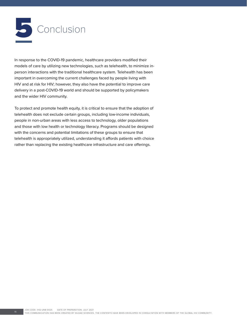

In response to the COVID-19 pandemic, healthcare providers modified their models of care by utilizing new technologies, such as telehealth, to minimize inperson interactions with the traditional healthcare system. Telehealth has been important in overcoming the current challenges faced by people living with HIV and at risk for HIV; however, they also have the potential to improve care delivery in a post-COVID-19 world and should be supported by policymakers and the wider HIV community.

To protect and promote health equity, it is critical to ensure that the adoption of telehealth does not exclude certain groups, including low-income individuals, people in non-urban areas with less access to technology, older populations and those with low health or technology literacy. Programs should be designed with the concerns and potential limitations of these groups to ensure that telehealth is appropriately utilized, understanding it affords patients with choice rather than replacing the existing healthcare infrastructure and care offerings.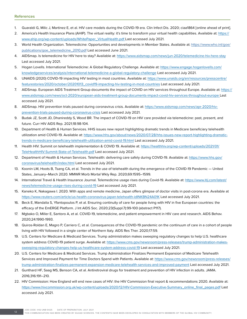- 1. Guaraldi G, Milic J, Martinez E, et al. HIV care models during the COVID-19 era. Clin Infect Dis. 2020; ciaa1864 [online ahead of print].
- 2. America's Health Insurance Plans (AHIP). The virtual reality: it's time to transform your virtual health capabilities. Available at: https:// www.ahip.org/wp-content/uploads/WhitePaper\_VirtualHealth.pdf Last accessed July 2021.
- 3. World Health Organization. Telemedicine: Opportunities and developments in Member States. Available at: [https://www.who.int/goe/](https://www.who.int/goe/publications/goe_telemedicine_2010.pdf) [publications/goe\\_telemedicine\\_2010.pdf](https://www.who.int/goe/publications/goe_telemedicine_2010.pdf) Last accessed June 2021.
- 4. AIDSmap. Is telemedicine for HIV here to stay? Available at: https://www.aidsmap.com/news/jun-2020/telemedicine-hiv-here-stay Last accessed July 2021.
- 5. Hogan Lovells. International Telemedicine: A Global Regulatory Challenge. Available at: https://www.engage.hoganlovells.com/ knowledgeservices/analysis/international-telemedicine-a-global-regulatory-challenge Last accessed July 2021.
- 6. UNAIDS (2020) COVID-19 impacting HIV testing in most countries. Available at: https://www.unaids.org/en/resources/presscentre/ featurestories/2020/october/20201013\_covid19-impacting-hiv-testing-in-most-countries Last accessed July 2021.
- 7. AIDSmap. European AIDS Treatment Group documents the impact of COVID on HIV services throughout Europe. Available at: https:// www.aidsmap.com/news/oct-2020/european-aids-treatment-group-documents-impact-covid-hiv-services-throughout-europe Last accessed July 2021.
- 8. AIDSmap. HIV prevention trials paused during coronavirus crisis. Available at: https://www.aidsmap.com/news/apr-2020/hivprevention-trials-paused-during-coronavirus-crisis Last accessed July 2021.
- 9. Budak JZ, Scott JD, Dhanireddy S, Wood BR. The impact of COVID-19 on HIV care provided via telemedicine: past, present, and future. Curr HIV AIDS Rep. 2021;18:98-104.
- 10. Department of Health & Human Services. HHS issues new report highlighting dramatic trends in Medicare beneficiary telehealth utilization amid COVID-19. Available at: https://www.hhs.gov/about/news/2020/07/28/hhs-issues-new-report-highlighting-dramatictrends-in-medicare-beneficiary-telehealth-utilization-amid-covid-19.html Last accessed July 2021.
- 11. Health HIV. Summit on telehealth implementation & COVID 19. Available at: https://healthhiv.org/wp-content/uploads/2021/01/ TeleHealthHIV-Summit-State-of-Telehealth.pdf Last accessed July 2021.
- 12. Department of Health & Human Services. Telehealth: delivering care safely during COVID-19. Available at: https://www.hhs.gov/ coronavirus/telehealth/index.html Last accessed July 2021.
- 13. Koonin LM, Hoots B, Tsang CA, et al. Trends in the use of telehealth during the emergence of the COVID-19 Pandemic United States, January–March 2020. MMWR Morb Mortal Wkly Rep. 2020;69:1595–1599.
- 14. International Travel & Health Insurance Journal. Telemedicine usage rises during Covid-19. Available at: https://www.itij.com/latest/ news/telemedicine-usage-rises-during-covid-19 Last accessed July 2021.
- 15. Kaneko K, Nakagawa I. 2020. With apps and remote medicine, Japan offers glimpse of doctor visits in post-corona era. Available at https://www.reuters.com/article/us-health-coronavirus-japan-telehealth-idINKBN24A01K Last accessed July 2021.
- 16. Beck E, Mandalia S, Yfantopoulos P, et al. Ensuring continuity of care for people living with HIV in five European countries: the efficacy of the EmERGE Platform. J Int AIDS Soc. 2020;23(Suppl.7):99-100 (abstract P117).
- 17. Mgbako O, Miller E, Santoro A, et al. COVID-19, telemedicine, and patient empowerment in HIV care and research. AIDS Behav. 2020;24:1990-1993.
- 18. Quiros-Roldan E, Magro P, Carriero C, et al. Consequences of the COVID-19 pandemic on the continuum of care in a cohort of people living with HIV followed in a single center of Northern Italy. AIDS Res Ther. 2020;17:59.
- 19. U.S. Centers for Medicare & Medicaid Services. Trump administration makes sweeping regulatory changes to help U.S. healthcare system address COVID-19 patient surge. Available at: https://www.cms.gov/newsroom/press-releases/trump-administration-makessweeping-regulatory-changes-help-us-healthcare-system-address-covid-19 Last accessed July 2021.
- 20. U.S. Centers for Medicare & Medicaid Services. Trump Administration Finalizes Permanent Expansion of Medicare Telehealth Services and Improved Payment for Time Doctors Spend with Patients. Available at: https://www.cms.gov/newsroom/press-releases/ trump-administration-finalizes-permanent-expansion-medicare-telehealth-services-and-improved-payment Last accessed July 2021.
- 21. Gunthard HF, Saag MS, Benson CA, et al. Antiretroviral drugs for treatment and prevention of HIV infection in adults. JAMA. 2016;316:191–210.
- 22. HIV Commission: How England will end new cases of HIV: the HIV Commission final report & recommendations 2020. Available at: https://www.hivcommission.org.uk/wp-content/uploads/2020/12/HIV-Commission-Executive-Summary\_online\_final\_pages.pdf Last accessed July 2021.